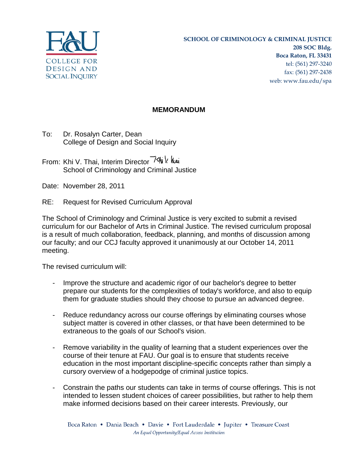

## **MEMORANDUM**

To: Dr. Rosalyn Carter, Dean College of Design and Social Inquiry

From: Khi V. Thai, Interim Director School of Criminology and Criminal Justice

Date: November 28, 2011

RE: Request for Revised Curriculum Approval

The School of Criminology and Criminal Justice is very excited to submit a revised curriculum for our Bachelor of Arts in Criminal Justice. The revised curriculum proposal is a result of much collaboration, feedback, planning, and months of discussion among our faculty; and our CCJ faculty approved it unanimously at our October 14, 2011 meeting.

The revised curriculum will:

- Improve the structure and academic rigor of our bachelor's degree to better prepare our students for the complexities of today's workforce, and also to equip them for graduate studies should they choose to pursue an advanced degree.
- Reduce redundancy across our course offerings by eliminating courses whose subject matter is covered in other classes, or that have been determined to be extraneous to the goals of our School's vision.
- Remove variability in the quality of learning that a student experiences over the course of their tenure at FAU. Our goal is to ensure that students receive education in the most important discipline-specific concepts rather than simply a cursory overview of a hodgepodge of criminal justice topics.
- Constrain the paths our students can take in terms of course offerings. This is not intended to lessen student choices of career possibilities, but rather to help them make informed decisions based on their career interests. Previously, our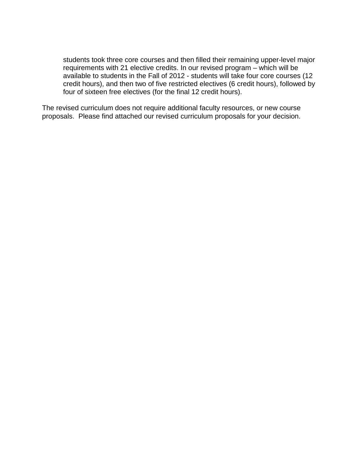students took three core courses and then filled their remaining upper-level major requirements with 21 elective credits. In our revised program – which will be available to students in the Fall of 2012 - students will take four core courses (12 credit hours), and then two of five restricted electives (6 credit hours), followed by four of sixteen free electives (for the final 12 credit hours).

The revised curriculum does not require additional faculty resources, or new course proposals. Please find attached our revised curriculum proposals for your decision.